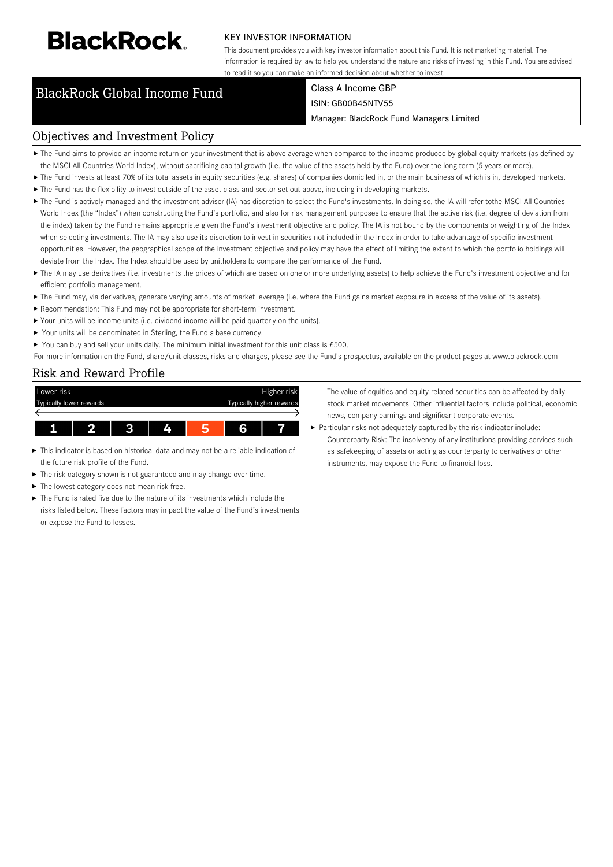# **BlackRock**

#### KEY INVESTOR INFORMATION

This document provides you with key investor information about this Fund. It is not marketing material. The information is required by law to help you understand the nature and risks of investing in this Fund. You are advised to read it so you can make an informed decision about whether to invest.

### BlackRock Global Income Fund Class A Income GBP

## ISIN: GB00B45NTV55

Manager: BlackRock Fund Managers Limited

#### Objectives and Investment Policy

- ▶ The Fund aims to provide an income return on your investment that is above average when compared to the income produced by global equity markets (as defined by the MSCI All Countries World Index), without sacrificing capital growth (i.e. the value of the assets held by the Fund) over the long term (5 years or more).
- ▶ The Fund invests at least 70% of its total assets in equity securities (e.g. shares) of companies domiciled in, or the main business of which is in, developed markets.
- The Fund has the flexibility to invest outside of the asset class and sector set out above, including in developing markets.
- ▶ The Fund is actively managed and the investment adviser (IA) has discretion to select the Fund's investments. In doing so, the IA will refer tothe MSCI All Countries World Index (the "Index") when constructing the Fund's portfolio, and also for risk management purposes to ensure that the active risk (i.e. degree of deviation from the index) taken by the Fund remains appropriate given the Fund's investment objective and policy. The IA is not bound by the components or weighting of the Index when selecting investments. The IA may also use its discretion to invest in securities not included in the Index in order to take advantage of specific investment opportunities. However, the geographical scope of the investment objective and policy may have the effect of limiting the extent to which the portfolio holdings will deviate from the Index. The Index should be used by unitholders to compare the performance of the Fund.
- ▶ The IA may use derivatives (i.e. investments the prices of which are based on one or more underlying assets) to help achieve the Fund's investment objective and for efficient portfolio management.
- ▶ The Fund may, via derivatives, generate varying amounts of market leverage (i.e. where the Fund gains market exposure in excess of the value of its assets).
- Recommendation: This Fund may not be appropriate for short-term investment.
- Your units will be income units (i.e. dividend income will be paid quarterly on the units).
- ▶ Your units will be denominated in Sterling, the Fund's base currency.
- ▶ You can buy and sell your units daily. The minimum initial investment for this unit class is £500.

For more information on the Fund, share/unit classes, risks and charges, please see the Fund's prospectus, available on the product pages at www.blackrock.com

#### Risk and Reward Profile



- This indicator is based on historical data and may not be a reliable indication of the future risk profile of the Fund.
- The risk category shown is not guaranteed and may change over time. ь
- ▶ The lowest category does not mean risk free.
- The Fund is rated five due to the nature of its investments which include the risks listed below. These factors may impact the value of the Fund's investments or expose the Fund to losses.
- The value of equities and equity-related securities can be affected by daily stock market movements. Other influential factors include political, economic news, company earnings and significant corporate events.
- Particular risks not adequately captured by the risk indicator include:
	- Counterparty Risk: The insolvency of any institutions providing services such as safekeeping of assets or acting as counterparty to derivatives or other instruments, may expose the Fund to financial loss.